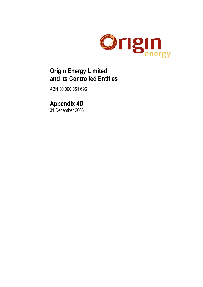

# **Origin Energy Limited and its Controlled Entities**

ABN 30 000 051 696

# **Appendix 4D**

31 December 2003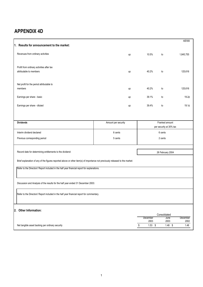## **APPENDIX 4D**

|                                                                                                                              |                     |                  |                         | A\$'000          |
|------------------------------------------------------------------------------------------------------------------------------|---------------------|------------------|-------------------------|------------------|
| 1. Results for announcement to the market:                                                                                   |                     |                  |                         |                  |
| Revenues from ordinary activities                                                                                            | up                  | 10.5%            | to                      | 1,845,755        |
|                                                                                                                              |                     |                  |                         |                  |
| Profit from ordinary activities after tax                                                                                    |                     |                  |                         |                  |
| attributable to members                                                                                                      | up                  | 40.2%            | to                      | 125,616          |
|                                                                                                                              |                     |                  |                         |                  |
| Net profit for the period attributable to<br>members                                                                         | up                  | 40.2%            | to                      | 125,616          |
|                                                                                                                              |                     | 39.1%            | to                      | 19.2¢            |
| Earnings per share - basic                                                                                                   | up                  |                  |                         |                  |
| Earnings per share - diluted                                                                                                 | up                  | 39.4%            | to                      | 19.1¢            |
|                                                                                                                              |                     |                  |                         |                  |
| <b>Dividends</b>                                                                                                             | Amount per security |                  | Franked amount          |                  |
|                                                                                                                              |                     |                  | per security at 30% tax |                  |
| Interim dividend declared                                                                                                    | 6 cents             |                  | 6 cents                 |                  |
| Previous corresponding period                                                                                                | 5 cents             |                  | 2 cents                 |                  |
|                                                                                                                              |                     |                  |                         |                  |
| Record date for determining entitlements to the dividend:                                                                    |                     |                  | 26 February 2004        |                  |
| Brief explanation of any of the figures reported above or other item(s) of importance not previously released to the market: |                     |                  |                         |                  |
| Refer to the Directors' Report included in the half year financial report for explanations.                                  |                     |                  |                         |                  |
|                                                                                                                              |                     |                  |                         |                  |
|                                                                                                                              |                     |                  |                         |                  |
| Discussion and Analysis of the results for the half year ended 31 December 2003:                                             |                     |                  |                         |                  |
| Refer to the Directors' Report included in the half year financial report for commentary.                                    |                     |                  |                         |                  |
|                                                                                                                              |                     |                  |                         |                  |
|                                                                                                                              |                     |                  |                         |                  |
| 2. Other Information:                                                                                                        |                     |                  | Consolidated            |                  |
|                                                                                                                              |                     | December<br>2003 | June<br>2003            | December<br>2002 |
| Net tangible asset backing per ordinary security                                                                             |                     | $1.53$ \$<br>\$  | $1.48$ \$               | 1.48             |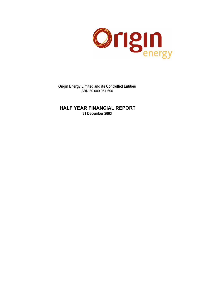

**Origin Energy Limited and its Controlled Entities** ABN 30 000 051 696

**HALF YEAR FINANCIAL REPORT 31 December 2003**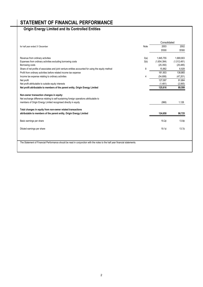## **STATEMENT OF FINANCIAL PERFORMANCE**

|                                                                                                                            |      | Consolidated      |                   |
|----------------------------------------------------------------------------------------------------------------------------|------|-------------------|-------------------|
| for half year ended 31 December                                                                                            | Note | 2003              | 2002              |
|                                                                                                                            |      | \$'000            | \$'000            |
| Revenue from ordinary activities                                                                                           | 3(a) | 1.845.755         | 1,669,903         |
| Expenses from ordinary activities excluding borrowing costs                                                                | 3(b) | (1,654,384)       | (1,512,481)       |
| Borrowing costs                                                                                                            |      | (25, 350)         | (25, 485)         |
| Share of net profits of associates and joint venture entities accounted for using the equity method                        | 8    | 15,882            | 6,928             |
| Profit from ordinary activities before related income tax expense                                                          |      | 181,903           | 138,865           |
| Income tax expense relating to ordinary activities                                                                         | 4    | (54, 806)         | (47, 201)         |
| Net profit                                                                                                                 |      | 127.097           | 91,664            |
| Net profit attributable to outside equity interests                                                                        |      | (1,481)           | (2,065)           |
| Net profit attributable to members of the parent entity, Origin Energy Limited                                             |      | 125,616           | 89,599            |
|                                                                                                                            |      |                   |                   |
| Non-owner transaction changes in equity:                                                                                   |      |                   |                   |
| Net exchange difference relating to self-sustaining foreign operations attributable to                                     |      |                   |                   |
| members of Origin Energy Limited recognised directly in equity                                                             |      | (966)             | 1,126             |
| Total changes in equity from non-owner related transactions                                                                |      |                   |                   |
| attributable to members of the parent entity, Origin Energy Limited                                                        |      | 124,650           | 90,725            |
|                                                                                                                            |      |                   |                   |
| Basic earnings per share                                                                                                   |      | 19.2c             | 13.8 <sub>c</sub> |
| Diluted earnings per share                                                                                                 |      | 19.1 <sub>¢</sub> | 13.7 <sub>¢</sub> |
|                                                                                                                            |      |                   |                   |
| The Statement of Financial Performance should be read in conjunction with the notes to the half year financial statements. |      |                   |                   |
|                                                                                                                            |      |                   |                   |
|                                                                                                                            |      |                   |                   |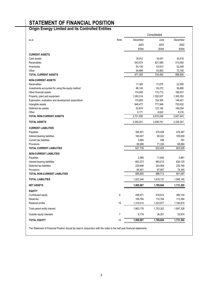## **STATEMENT OF FINANCIAL POSITION**

### **Origin Energy Limited and its Controlled Entities**

|                                                     |                |           | Consolidated |           |
|-----------------------------------------------------|----------------|-----------|--------------|-----------|
| as at                                               | Note           | December  | June         | December  |
|                                                     |                | 2003      | 2003         | 2002      |
|                                                     |                | \$'000    | \$'000       | \$'000    |
| <b>CURRENT ASSETS</b>                               |                |           |              |           |
| Cash assets                                         |                | 18,912    | 16,431       | 30,418    |
| Receivables                                         |                | 543,574   | 621,085      | 513,050   |
| Inventories                                         |                | 54,130    | 53,913       | 53,246    |
| Other                                               |                | 54,689    | 43,063       | 72,190    |
| <b>TOTAL CURRENT ASSETS</b>                         |                | 671.305   | 734,492      | 668,904   |
| <b>NON-CURRENT ASSETS</b>                           |                |           |              |           |
| Receivables                                         |                | 11,345    | 31,675       | 22,350    |
| Investments accounted for using the equity method   |                | 66,145    | 55,272       | 56,680    |
| Other financial assets                              |                | 174,005   | 170,713      | 186,037   |
| Property, plant and equipment                       |                | 1,393,314 | 1,352,527    | 1,305,353 |
| Exploration, evaluation and development expenditure |                | 170,605   | 154,300      | 148,421   |
| Intangible assets                                   |                | 848,477   | 777,948      | 730,932   |
| Deferred tax assets                                 |                | 52,874    | 123,192      | 199,354   |
| Other                                               |                | 5,171     | 8,622        | 8,316     |
| TOTAL NON-CURRENT ASSETS                            |                | 2,721,936 | 2,674,249    | 2,657,443 |
| <b>TOTAL ASSETS</b>                                 |                | 3,393,241 | 3,408,741    | 3,326,347 |
| <b>CURRENT LIABILITIES</b>                          |                |           |              |           |
| Payables                                            |                | 394,501   | 475,026      | 479,367   |
| Interest-bearing liabilities                        |                | 160,047   | 85,522       | 105,000   |
| Current tax liabilities                             |                | 3,905     | 546          | 787       |
| Provisions                                          |                | 69,286    | 71,330       | 68,894    |
| <b>TOTAL CURRENT LIABILITIES</b>                    |                | 627,739   | 632,424      | 654,048   |
| <b>NON-CURRENT LIABILITIES</b>                      |                |           |              |           |
| Payables                                            |                | 2,085     | 11,840       | 5,881     |
| Interest-bearing liabilities                        |                | 603,273   | 663,012      | 630,125   |
| Deferred tax liabilities                            |                | 229,846   | 243,904      | 230,746   |
| Provisions                                          |                | 60,401    | 67,957       | 74,345    |
| <b>TOTAL NON-CURRENT LIABILITIES</b>                |                | 895,605   | 986,713      | 941,097   |
| <b>TOTAL LIABILITIES</b>                            |                | 1,523,344 | 1,619,137    | 1,595,145 |
| <b>NET ASSETS</b>                                   |                | 1,869,897 | 1,789,604    | 1,731,202 |
| <b>EQUITY</b>                                       |                |           |              |           |
| Contributed equity                                  | 9              | 436,971   | 418,612      | 399,124   |
| Reserves                                            |                | 109,794   | 110,764      | 113,394   |
| Retained profits                                    | 10             | 1,316,414 | 1,223,977    | 1,184,810 |
| Total parent entity interest                        |                | 1,863,179 | 1,753,353    | 1,697,328 |
| Outside equity interests                            | $\overline{7}$ | 6,718     | 36,251       | 33,874    |
| <b>TOTAL EQUITY</b>                                 | 10             | 1,869,897 | 1,789,604    | 1,731,202 |
|                                                     |                |           |              |           |

The Statement of Financial Position should be read in conjunction with the notes to the half year financial statements.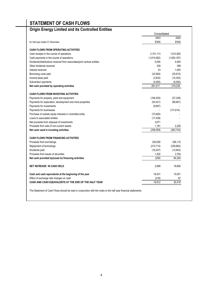# **STATEMENT OF CASH FLOWS**

## **Origin Energy Limited and its Controlled Entities**

|                                                                         | Consolidated |             |
|-------------------------------------------------------------------------|--------------|-------------|
|                                                                         | 2003         | 2002        |
| for half year ended 31 December                                         | \$'000       | \$'000      |
| <b>CASH FLOWS FROM OPERATING ACTIVITIES</b>                             |              |             |
| Cash receipts in the course of operations                               | 2,101,113    | 1,913,902   |
| Cash payments in the course of operations                               | (1,814,062)  | (1,653,187) |
| Dividends/distributions received from associates/joint venture entities | 5,000        | 4,000       |
| Other dividends received                                                | 339          | 399         |
| Interest received                                                       | 23           | 1,093       |
| Borrowing costs paid                                                    | (23, 564)    | (25,615)    |
| Income taxes paid                                                       | (3,832)      | (15, 353)   |
| Subvention payments                                                     | (4,000)      | (6,000)     |
| Net cash provided by operating activities                               | 261,017      | 219,239     |
| <b>CASH FLOWS FROM INVESTING ACTIVITIES</b>                             |              |             |
| Payments for property, plant and equipment                              | (106, 535)   | (57, 338)   |
| Payments for exploration, development and mine properties               | (54, 421)    | (96, 991)   |
| Payments for investments                                                | (9,697)      |             |
| Payments for businesses                                                 |              | (131, 614)  |
| Purchase of outside equity interests in controlled entity               | (73, 820)    |             |
| Loans to associated entities                                            | (17, 438)    |             |
| Net proceeds from disposal of investments                               | 2,671        |             |
| Proceeds from sale of non-current assets                                | 1,181        | 2,200       |
| Net cash used in investing activities                                   | (258, 059)   | (283, 743)  |
| <b>CASH FLOWS FROM FINANCING ACTIVITIES</b>                             |              |             |
| Proceeds from borrowings                                                | 230,500      | 328,115     |
| Repayment of borrowings                                                 | (215, 714)   | (236, 662)  |
| Dividends paid                                                          | (16, 247)    | (10, 943)   |
| Proceeds from issues of securities                                      | 1,202        | 3,794       |
| Net cash provided by/(used in) financing activities                     | (259)        | 84,304      |
| <b>NET INCREASE IN CASH HELD</b>                                        | 2,699        | 19,800      |
| Cash and cash equivalents at the beginning of the year                  | 16,431       | 10,551      |
| Effect of exchange rate changes on cash                                 | (218)        | 67          |
| CASH AND CASH EQUIVALENTS AT THE END OF THE HALF YEAR                   | 18,912       | 30,418      |

The Statement of Cash Flows should be read in conjunction with the notes to the half year financial statements.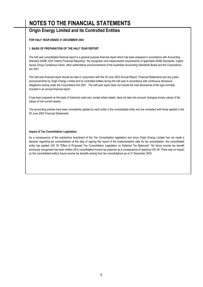## **Origin Energy Limited and its Controlled Entities**

### *FOR HALF YEAR ENDED 31 DECEMBER 2003*

### **1. BASIS OF PREPARATION OF THE HALF YEAR REPORT**

The half year consolidated financial report is a general purpose financial report which has been prepared in accordance with Accounting Standard AASB 1029 "Interim Financial Reporting", the recognition and measurement requirements of applicable AASB Standards, Urgent Issues Group Consensus Views, other authoritative pronouncements of the Australian Accounting Standards Board and the Corporations Act 2001.

This half year financial report should be read in conjunction with the 30 June 2003 Annual Report, Financial Statements and any public announcements by Origin Energy Limited and its controlled entities during the half year in accordance with continuous disclosure obligations arising under the Corporations Act 2001. The half year report does not include full note disclosures of the type normally included in an annual financial report.

It has been prepared on the basis of historical costs and, except where stated, does not take into account changing money values of fair values of non-current assets.

The accounting policies have been consistently applied by each entity in the consolidated entity and are consistent with those applied in the 30 June 2003 Financial Statements.

### **Impact of Tax Consolidation Legislation**

As a consequence of the substantive enactment of the Tax Consolidation legislation and since Origin Energy Limited has not made a decision regarding tax consolidations at the date of signing this report of the implementation date for tax consolidation, the consolidated entity has applied UIG 39 "Effect of Proposed Tax Consolidation Legislation on Deferred Tax Balances". No future income tax benefit previously recognised has been written off to consolidated income tax expense as a consequence of applying UIG 39. There was no impact on the consolidated entity's future income tax benefits arising from tax consolidations as at 31 December 2003.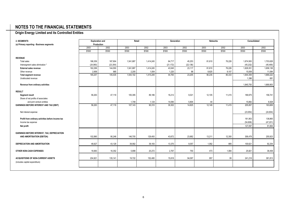| 2. SEGMENTS                                        | <b>Exploration and</b> |           | Retail    |           | Generation |           | <b>Networks</b> |        | Consolidated |           |
|----------------------------------------------------|------------------------|-----------|-----------|-----------|------------|-----------|-----------------|--------|--------------|-----------|
| (a) Primary reporting - Business segments          | Production<br>2003     | 2002      | 2003      | 2002      | 2003       | 2002      | 2003            | 2002   | 2003         | 2002      |
|                                                    | \$'000                 | \$'000    | \$'000    | \$'000    | \$'000     | \$'000    | \$'000          | \$'000 | \$'000       | \$'000    |
|                                                    |                        |           |           |           |            |           |                 |        |              |           |
| <b>REVENUE</b>                                     |                        |           |           |           |            |           |                 |        |              |           |
| Total sales                                        | 186,359                | 167,904   | 1,541,897 | 1,414,245 | 64,717     | 45,253    | 81,610          | 76,226 | 1,874,583    | 1,703,628 |
| Intersegment sales elimination *                   | (24,060)               | (23, 354) |           |           | (21, 172)  | (22, 136) |                 |        | (45, 232)    | (45, 490) |
| <b>External sales revenue</b>                      | 162,299                | 144,550   | 1,541,897 | 1,414,245 | 43,545     | 23,117    | 81,610          | 76,226 | 1,829,351    | 1,658,138 |
| Other revenue                                      | 2,958                  | 885       | 2,205     | 1,004     | 1,220      | 88        | 8,625           | 9,107  | 15,008       | 11,084    |
| <b>Total segment revenue</b>                       | 165,257                | 145,435   | 1,544,102 | 1,415,249 | 44,765     | 23,205    | 90,235          | 85,333 | 1,844,359    | 1,669,222 |
| Unallocated revenue                                |                        |           |           |           |            |           |                 |        | 1,396        | 681       |
| Revenue from ordinary activities                   |                        |           |           |           |            |           |                 |        | 1,845,755    | 1,669,903 |
| <b>RESULT</b>                                      |                        |           |           |           |            |           |                 |        |              |           |
| Segment result                                     | 56,263                 | 47,119    | 105,395   | 89,186    | 16,212     | 9,021     | 12,105          | 11,415 | 189,975      | 156,741   |
| Share of net profits of associates                 |                        |           |           |           |            |           |                 |        |              |           |
| and joint venture entities                         |                        |           | 1,748     | 1,124     | 14,090     | 5,804     | 44              |        | 15,882       | 6,928     |
| <b>EARNINGS BEFORE INTEREST AND TAX (EBIT)</b>     | 56,263                 | 47,119    | 107,143   | 90,310    | 30,302     | 14,825    | 12,149          | 11,415 | 205,857      | 163,669   |
|                                                    |                        |           |           |           |            |           |                 |        |              |           |
| Net interest expense                               |                        |           |           |           |            |           |                 |        | (23, 954)    | (24, 804) |
| Profit from ordinary activities before income tax  |                        |           |           |           |            |           |                 |        | 181,903      | 138,865   |
| Income tax expense                                 |                        |           |           |           |            |           |                 |        | (54, 806)    | (47, 201) |
| Net profit                                         |                        |           |           |           |            |           |                 |        | 127,097      | 91,664    |
|                                                    |                        |           |           |           |            |           |                 |        |              |           |
| <b>EARNINGS BEFORE INTEREST, TAX, DEPRECIATION</b> |                        |           |           |           |            |           |                 |        |              |           |
| AND AMORTISATION (EBITDA)                          | 102,890                | 90,248    | 146,705   | 129,493   | 43,672     | 23,882    | 13,211          | 12,300 | 306,478      | 255,923   |
|                                                    |                        |           |           |           |            |           |                 |        |              |           |
| DEPRECIATION AND AMORTISATION                      | 46,627                 | 43,129    | 39,562    | 39,183    | 13,370     | 9,057     | 1,062           | 885    | 100,621      | 92,254    |
| OTHER NON-CASH EXPENSES                            | 16,683                 | 16,352    | 5,898     | 20,272    | 2,767      | 750       | 473             | 1,084  | 25,821       | 38,458    |
|                                                    |                        |           |           |           |            |           |                 |        |              |           |
| <b>ACQUISITIONS OF NON-CURRENT ASSETS</b>          | 204,921                | 135,141   | 19,722    | 152,480   | 15,618     | 94,097    | 957             | 95     | 241,218      | 381,813   |
| (includes capital expenditure)                     |                        |           |           |           |            |           |                 |        |              |           |
|                                                    |                        |           |           |           |            |           |                 |        |              |           |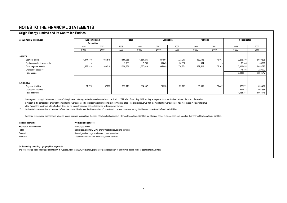### **Origin Energy Limited and its Controlled Entities**

| 2. SEGMENTS (continued)      | <b>Exploration and</b><br>Production |         | Retail    |           | Generation |         | <b>Networks</b> |         | Consolidated |           |
|------------------------------|--------------------------------------|---------|-----------|-----------|------------|---------|-----------------|---------|--------------|-----------|
|                              | 2003                                 | 2002    | 2003      | 2002      | 2003       | 2002    | 2003            | 2002    | 2003         | 2002      |
|                              | \$'000                               | \$'000  | \$'000    | \$'000    | \$'000     | \$'000  | \$'000          | \$'000  | \$'000       | \$'000    |
| <b>ASSETS</b>                |                                      |         |           |           |            |         |                 |         |              |           |
| Segment assets               | 1,177,319                            | 986,519 | 1,550,955 | 1,554,236 | 337,904    | 323,977 | 189,132         | 175,163 | 3,255,310    | 3,039,895 |
| Equity accounted investments |                                      |         | 7,706     | 5,793     | 58,045     | 50,887  | 394             |         | 66,145       | 56,680    |
| <b>Total segment assets</b>  | 1,177,319                            | 986,519 | 1,558,661 | 1,560,029 | 395,949    | 374,864 | 189,526         | 175,163 | 3,321,455    | 3,096,575 |
| Unallocated assets **        |                                      |         |           |           |            |         |                 |         | 71,786       | 229,772   |
| <b>Total assets</b>          |                                      |         |           |           |            |         |                 |         | 3,393,241    | 3,326,347 |
|                              |                                      |         |           |           |            |         |                 |         |              |           |
| <b>LIABILITIES</b>           |                                      |         |           |           |            |         |                 |         |              |           |
| Segment liabilities          | 91,729                               | 82,835  | 377,119   | 394,037   | 20,538     | 122,173 | 36,885          | 29,442  | 526,271      | 628,487   |
| Unallocated liabilities **   |                                      |         |           |           |            |         |                 |         | 997,073      | 966,658   |
| <b>Total liabilities</b>     |                                      |         |           |           |            |         |                 |         | 1,523,344    | 1,595,145 |

\*Intersegment pricing is determined on an arm's length basis. Intersegment sales are eliminated on consolidation. With effect from 1 July 2002, a tolling arrangement was established between Retail and Generation in relation to the consolidated entity's three merchant power stations. The tolling arrangement pricing is at commercial rates. The external revenue from the merchant power stations is now recognised in Retail's revenue while Generation receives a tolling fee from Retail for the capacity provided and costs incurred by these power stations.

\*\*Unallocated assets consists of cash and deferred tax assets. Unallocated liabilities consists of current and non-current interest-bearing liabilities and current and deferred tax liabilities.

Corporate revenue and expenses are allocated across business segments on the basis of external sales revenue. Corporate assets and liabilities are allocated across business segments based on their share of total assets and

| Industry segments:                | <b>Products and services:</b>                                       |
|-----------------------------------|---------------------------------------------------------------------|
| <b>Exploration and Production</b> | Natural gas and oil                                                 |
| Retail                            | Natural gas, electricity, LPG, energy related products and services |
| Generation                        | Natural gas-fired cogeneration and power generation                 |
| <b>Networks</b>                   | Infrastructure investment and management services                   |

#### **(b) Secondary reporting - geographical segments**

The consolidated entity operates predominantly in Australia. More than 90% of revenue, profit, assets and acquisition of non-current assets relate to operations in Australia.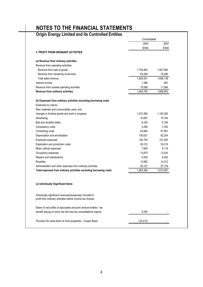|                                                                                                                        |           | Consolidated |  |  |  |
|------------------------------------------------------------------------------------------------------------------------|-----------|--------------|--|--|--|
|                                                                                                                        | 2003      | 2002         |  |  |  |
|                                                                                                                        | \$'000    | \$'000       |  |  |  |
| <b>3. PROFIT FROM ORDINARY ACTIVITIES</b>                                                                              |           |              |  |  |  |
| (a) Revenue from ordinary activities                                                                                   |           |              |  |  |  |
| Revenue from operating activities:                                                                                     |           |              |  |  |  |
| Revenue from sale of goods                                                                                             | 1,745,842 | 1,581,882    |  |  |  |
| Revenue from rendering of services                                                                                     | 83,509    | 76,256       |  |  |  |
| Total sales revenue                                                                                                    | 1,829,351 | 1,658,138    |  |  |  |
| Interest income                                                                                                        | 1,396     | 681          |  |  |  |
| Revenue from outside operating activities                                                                              | 15,008    | 11,084       |  |  |  |
| Revenue from ordinary activities                                                                                       | 1,845,755 | 1,669,903    |  |  |  |
| (b) Expenses from ordinary activities excluding borrowing costs                                                        |           |              |  |  |  |
| Expenses by nature:                                                                                                    |           |              |  |  |  |
| Raw materials and consumables used, and                                                                                |           |              |  |  |  |
| changes in finished goods and work in progress                                                                         | 1,231,565 | 1,105,392    |  |  |  |
| Advertising                                                                                                            | 10,697    | 10,184       |  |  |  |
| Bad and doubtful debts                                                                                                 | 6,335     | 5,194        |  |  |  |
| Consultancy costs                                                                                                      | 3,258     | 3,782        |  |  |  |
| Contracting costs                                                                                                      | 63,664    | 57,081       |  |  |  |
| Depreciation and amortisation                                                                                          | 100,621   | 92,254       |  |  |  |
| Employee expenses                                                                                                      | 104,704   | 101,602      |  |  |  |
| Exploration and production costs                                                                                       | 36,312    | 35,219       |  |  |  |
| Motor vehicle expenses                                                                                                 | 7,929     | 8,119        |  |  |  |
| Occupancy expenses                                                                                                     | 13,870    | 13,424       |  |  |  |
| Repairs and maintenance                                                                                                | 6,420     | 8,242        |  |  |  |
| Royalties                                                                                                              | 13,882    | 14,212       |  |  |  |
| Administration and other expenses from ordinary activities                                                             | 55,127    | 57,776       |  |  |  |
| Total expenses from ordinary activities excluding borrowing costs                                                      | 1,654,384 | 1,512,481    |  |  |  |
| (c) Individually Significant Items                                                                                     |           |              |  |  |  |
| Individually significant revenues/(expenses) included in<br>profit from ordinary activities before income tax include: |           |              |  |  |  |
| Share of net profits of associates and joint venture entities - tax                                                    |           |              |  |  |  |
| benefit arising on entry into the new tax consolidations regime                                                        | 9,350     |              |  |  |  |
| Provision for write-down of mine properties - Cooper Basin                                                             | (16, 212) |              |  |  |  |
|                                                                                                                        |           |              |  |  |  |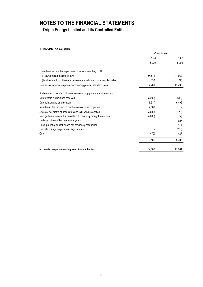# **Origin Energy Limited and its Controlled Entities**

### **4. INCOME TAX EXPENSE**

|                                                                          | Consolidated |          |  |
|--------------------------------------------------------------------------|--------------|----------|--|
|                                                                          | 2003         | 2002     |  |
|                                                                          | \$'000       | \$'000   |  |
| Prima facie income tax expense on pre-tax accounting profit:             |              |          |  |
| (i) at Australian tax rate of 30%                                        | 54,571       | 41,660   |  |
| (ii) adjustment for difference between Australian and overseas tax rates | 130          | (167)    |  |
| Income tax expense on pre-tax accounting profit at standard rates        | 54,701       | 41,493   |  |
| Add/(subtract) tax effect of major items causing permanent differences:  |              |          |  |
| Non-taxable distributions received                                       | (3,292)      | (1,615)  |  |
| Depreciation and amortisation                                            | 6.937        | 6,496    |  |
| Non-deductible provision for write-down of mine properties               | 4,863        |          |  |
| Share of net profits of associates and joint venture entities            | (3,832)      | (1, 173) |  |
| Recognition of deferred tax assets not previously brought to account     | (4,096)      | (182)    |  |
| Under provision of tax in previous years                                 |              | 1,927    |  |
| Recoupment of capital losses not previously recognised                   |              | 114      |  |
| Tax rate change on prior year adjustments                                |              | (286)    |  |
| Other                                                                    | (475)        | 427      |  |
|                                                                          | 105          | 5,708    |  |
| Income tax expense relating to ordinary activities                       | 54,806       | 47.201   |  |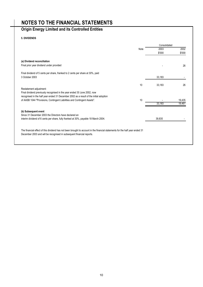## **Origin Energy Limited and its Controlled Entities**

**5. DIVIDENDS**

|                                                                                                                                                                    | Note | 2003   | 2002   |
|--------------------------------------------------------------------------------------------------------------------------------------------------------------------|------|--------|--------|
|                                                                                                                                                                    |      |        |        |
|                                                                                                                                                                    |      | \$'000 | \$'000 |
| (a) Dividend reconciliation                                                                                                                                        |      |        |        |
| Final prior year dividend under provided                                                                                                                           |      |        | 26     |
| Final dividend of 5 cents per share, franked to 2 cents per share at 30%, paid                                                                                     |      |        |        |
| 3 October 2003                                                                                                                                                     |      | 33,183 |        |
|                                                                                                                                                                    | 10   | 33,183 | 26     |
| Restatement adjustment:                                                                                                                                            |      |        |        |
| Final dividend previously recognised in the year ended 30 June 2002, now<br>recognised in the half year ended 31 December 2002 as a result of the initial adoption |      |        |        |
| of AASB 1044 "Provisions, Contingent Liabilities and Contingent Assets".                                                                                           | 10   |        | 19.435 |
|                                                                                                                                                                    |      | 33.183 | 19,461 |
| (b) Subsequent event                                                                                                                                               |      |        |        |
| Since 31 December 2003 the Directors have declared an                                                                                                              |      |        |        |
| interim dividend of 6 cents per share, fully franked at 30%, payable 18 March 2004.                                                                                |      | 39,835 |        |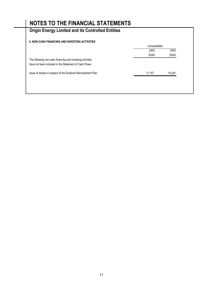# **Origin Energy Limited and its Controlled Entities**

### **6. NON-CASH FINANCING AND INVESTING ACTIVITIES**

|                                                              | Consolidated |        |
|--------------------------------------------------------------|--------------|--------|
|                                                              | 2003         | 2002   |
|                                                              | \$'000       | \$'000 |
| The following non-cash financing and investing activities    |              |        |
| have not been included in the Statement of Cash Flows:       |              |        |
| Issue of shares in respect of the Dividend Reinvestment Plan | 17,157       | 10,291 |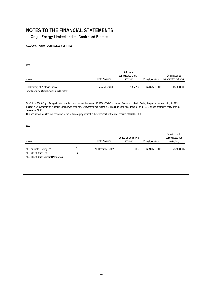## **NOTES TO THE FINANCIAL STATEMENTS 7. ACQUISITION OF CONTROLLED ENTITIES 2003** Name Date Acquired Additional consolidated entity's interest Consideration Contribution to consolidated net profit Oil Company of Australia Limited 30 September 2003 14.77% \$73,820,000 \$800,000 (now known as Origin Energy CSG Limited) This acquisition resulted in a reduction to the outside equity interest in the statement of financial position of \$30,056,000. **2002** Name Date Acquired Consolidated entity's interest Consideration Contribution to consolidated net profit/(loss) AES Australia Holding BV 13 December 2002 100% \$89,025,000 (\$76,000) AES Mount Stuart BV AES Mount Stuart General Partnership  **Origin Energy Limited and its Controlled Entities** At 30 June 2003 Origin Energy Limited and its controlled entities owned 85.23% of Oil Company of Australia Limited. During the period the remaining 14.77% interest in Oil Company of Australia Limited was acquired. Oil Company of Australia Limited has been accounted for as a 100% owned controlled entity from 30 September 2003.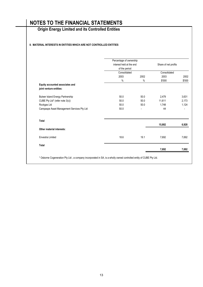## **Origin Energy Limited and its Controlled Entities**

### **8. MATERIAL INTERESTS IN ENTITIES WHICH ARE NOT CONTROLLED ENTITIES**

| <b>Envestra Limited</b>                    | 18.6                    | 19.1                     | 7,692  | 7,692                |  |  |
|--------------------------------------------|-------------------------|--------------------------|--------|----------------------|--|--|
| Other material interests:                  |                         |                          |        |                      |  |  |
| <b>Total</b>                               |                         |                          | 15,882 | 6,928                |  |  |
| Campaspe Asset Management Services Pty Ltd | 50.0                    |                          | 44     |                      |  |  |
| Rockgas Ltd                                | 50.0                    | 50.0                     | 1,748  | 1,124                |  |  |
| CUBE Pty Ltd* (refer note 3(c))            | 50.0                    | 50.0                     | 11,611 | 2,173                |  |  |
| Bulwer Island Energy Partnership           | 50.0                    | 50.0                     | 2,479  | 3,631                |  |  |
| joint venture entities:                    |                         |                          |        |                      |  |  |
| Equity accounted associates and            | $\%$                    | $\%$                     | \$'000 | \$'000               |  |  |
|                                            | 2003                    | 2002                     | 2003   | 2002                 |  |  |
|                                            |                         | Consolidated             |        |                      |  |  |
|                                            |                         | of the period            |        | Consolidated         |  |  |
|                                            |                         | interest held at the end |        | Share of net profits |  |  |
|                                            | Percentage of ownership |                          |        |                      |  |  |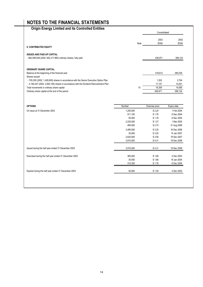| v                                                                                      |      | Consolidated |         |
|----------------------------------------------------------------------------------------|------|--------------|---------|
|                                                                                        |      | 2003         | 2002    |
|                                                                                        | Note | \$'000       | \$'000  |
| 9. CONTRIBUTED EQUITY                                                                  |      |              |         |
| <b>ISSUED AND PAID-UP CAPITAL</b>                                                      |      |              |         |
| - 662,599,548 (2002: 652,317,960) ordinary shares, fully paid                          |      | 436,971      | 399,124 |
| <b>ORDINARY SHARE CAPITAL</b>                                                          |      |              |         |
| Balance at the beginning of the financial year                                         |      | 418,612      | 385,039 |
| Shares issued:                                                                         |      |              |         |
| - 705,350 (2002: 1,426,600) shares in accordance with the Senior Executive Option Plan |      | 1,202        | 3,794   |
| -4,184,447 (2002: 2,693,165) shares in accordance with the Dividend Reinvestment Plan  |      | 17,157       | 10,291  |
| Total movements in ordinary share capital                                              | 10   | 18,359       | 14,085  |
| Ordinary share capital at the end of the period                                        |      | 436,971      | 399,124 |

| <b>OPTIONS</b>                                        | Number    | Exercise price | Expiry date |
|-------------------------------------------------------|-----------|----------------|-------------|
| On issue at 31 December 2003                          | 1,250,000 | \$2.24         | 1 Feb 2004  |
|                                                       | 571,150   | \$1.76         | 6 Dec 2004  |
|                                                       | 55,500    | \$1.78         | 6 Dec 2004  |
|                                                       | 2,230,000 | \$1.27         | 1 Mar 2005  |
|                                                       | 495,000   | \$2.74         | 31 Aug 2006 |
|                                                       | 3,495,000 | \$3.20         | 16 Dec 2006 |
|                                                       | 30,000    | \$3.20         | 14 Jan 2007 |
|                                                       | 2,630,000 | \$3.56         | 19 Dec 2007 |
|                                                       | 3,910,000 | \$4.31         | 19 Dec 2008 |
| Issued during the half year ended 31 December 2003    | 3,910,000 | \$4.31         | 19 Dec 2008 |
| Exercised during the half year ended 31 December 2003 | 365,000   | \$1.66         | 4 Dec 2003  |
|                                                       | 30,000    | \$1.66         | 19 Jan 2004 |
|                                                       | 310,350   | \$1.76         | 6 Dec 2004  |
| Expired during the half year ended 31 December 2003   | 50,000    | \$1.50         | 4 Dec 2003  |
|                                                       |           |                |             |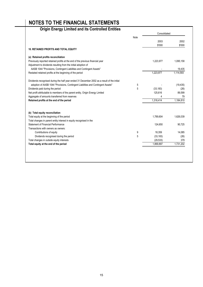|                                                                                             |      | Consolidated |           |
|---------------------------------------------------------------------------------------------|------|--------------|-----------|
|                                                                                             | Note |              |           |
|                                                                                             |      | 2003         | 2002      |
|                                                                                             |      | \$'000       | \$'000    |
| <b>10. RETAINED PROFITS AND TOTAL EQUITY</b>                                                |      |              |           |
| (a) Retained profits reconciliation                                                         |      |              |           |
| Previously reported retained profits at the end of the previous financial year              |      | 1,223,977    | 1,095,158 |
| Adjustment to dividends resulting from the initial adoption of                              |      |              |           |
| AASB 1044 "Provisions, Contingent Liabilities and Contingent Assets"                        |      |              | 19,435    |
| Restated retained profits at the beginning of the period                                    |      | 1,223,977    | 1,114,593 |
| Dividends recognised during the half year ended 31 December 2002 as a result of the initial |      |              |           |
| adoption of AASB 1044 "Provisions, Contingent Liabilities and Contingent Assets"            | 5    |              | (19, 435) |
| Dividends paid during the period                                                            | 5    | (33, 183)    | (26)      |
| Net profit attributable to members of the parent entity, Origin Energy Limited              |      | 125,616      | 89,599    |
| Aggregate of amounts transferred from reserves                                              |      | 4            | 79        |
| Retained profits at the end of the period                                                   |      | 1,316,414    | 1.184.810 |
| (b) Total equity reconciliation                                                             |      |              |           |
| Total equity at the beginning of the period                                                 |      | 1,789,604    | 1,626,039 |
| Total changes in parent entity interest in equity recognised in the                         |      |              |           |
| Statement of Financial Performance                                                          |      | 124,650      | 90,725    |
| Transactions with owners as owners:                                                         |      |              |           |
| Contributions of equity                                                                     | 9    | 18,359       | 14,085    |
| Dividends recognised during the period                                                      | 5    | (33, 183)    | (26)      |
| Total changes in outside equity interests                                                   |      | (29, 533)    | 379       |
| Total equity at the end of the period                                                       |      | 1,869,897    | 1,731,202 |
|                                                                                             |      |              |           |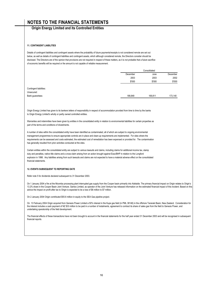### **Origin Energy Limited and its Controlled Entities**

#### **11. CONTINGENT LIABILITIES**

Details of contingent liabilities and contingent assets where the probability of future payments/receipts is not considered remote are set out below, as well as details of contingent liabilities and contingent assets, which although considered remote, the Directors consider should be disclosed. The Directors are of the opinion that provisions are not required in respect of these matters, as it is not probable that a future sacrifice of economic benefits will be required or the amount is not capable of reliable measurement.

| December<br>2003<br>\$'000 | June<br>2003<br>\$'000 | December<br>2002<br>\$'000 |
|----------------------------|------------------------|----------------------------|
|                            |                        |                            |
|                            |                        |                            |
|                            |                        |                            |
|                            |                        |                            |
|                            |                        |                            |
| 188,849                    | 169,811                | 173,140                    |
|                            |                        |                            |

Origin Energy Limited has given to its bankers letters of responsibility in respect of accommodation provided from time to time by the banks to Origin Energy Limited's wholly or partly owned controlled entities.

Warranties and indemnities have been given by entities in the consolidated entity in relation to environmental liabilities for certain properties as part of the terms and conditions of divestments.

A number of sites within the consolidated entity have been identified as contaminated, all of which are subject to ongoing environmental management programmes to ensure appropriate controls are in place and clean-up requirements are implemented. For sites where the requirements can be assessed and costs estimated, the estimated cost of remediation has been expensed or provided for. The contamination has generally resulted from prior activities conducted at the sites.

Certain entities within the consolidated entity are subject to various lawsuits and claims, including claims for additional income tax, stamp duty and penalties, native title claims and a cross-claim arising from an action brought against Esso/BHP in relation to the Longford explosion in 1998. Any liabilities arising from such lawsuits and claims are not expected to have a material adverse effect on the consolidated financial statements.

### **12. EVENTS SUBSEQUENT TO REPORTING DATE**

Refer note 5 for dividends declared subsequent to 31 December 2003.

On 1 January 2004 a fire at the Moomba processing plant interrupted gas supply from the Cooper basin primarily into Adelaide. The primary financial impact on Origin relates to Origin's 13.2% share in the Cooper Basin Joint Venture. Santos Limited, as operator of the Joint Venture has released information on the estimated financial impact of this incident. Based on this advice the impact on profit after tax to Origin is expected to be a loss of \$6 million to \$7 million.

On 2 January 2004 Origin contributed \$55.6 million in equity to the SEA Gas pipeline project.

On 13 February 2004 Origin acquired from Genesis Power Limited a 50% interest in the Kupe gas field (in PML 38146) in the offshore Taranaki Basin, New Zealand. Consideration for the interest includes a cash payment of NZ \$33 million to be paid in a number of instalments, agreement to contract its share of sales gas from the field to Genesis Power, and undertaking operatorship of the field development.

The financial effects of these transactions have not been brought to account in the financial statements for the half year ended 31 December 2003 and will be recognised in subsequent financial reports.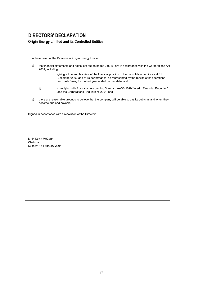## **DIRECTORS' DECLARATION**

### **Origin Energy Limited and its Controlled Entities**

In the opinion of the Directors of Origin Energy Limited:

- a) the financial statements and notes, set out on pages 2 to 16, are in accordance with the Corporations Act 2001, including:
	- i) giving a true and fair view of the financial position of the consolidated entity as at 31 December 2003 and of its performance, as represented by the results of its operations and cash flows, for the half year ended on that date; and
	- ii) complying with Australian Accounting Standard AASB 1029 "Interim Financial Reporting" and the Corporations Regulations 2001; and
- b) there are reasonable grounds to believe that the company will be able to pay its debts as and when they become due and payable.

Signed in accordance with a resolution of the Directors:

Mr H Kevin McCann Chairman Sydney, 17 February 2004